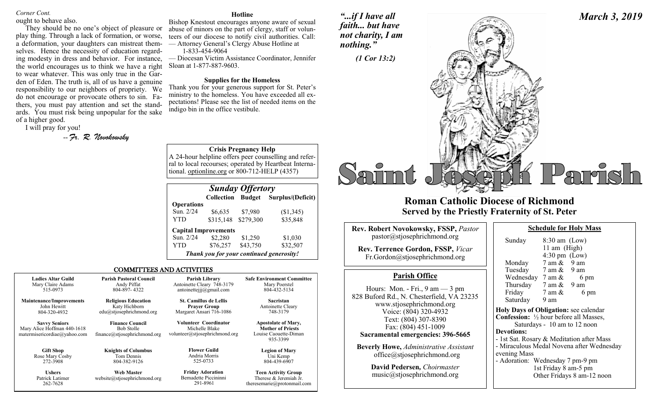## *Corner Cont.*

ought to behave also.

They should be no one's object of pleasure or play thing. Through a lack of formation, or worse, a deformation, your daughters can mistreat themselves. Hence the necessity of education regarding modesty in dress and behavior. For instance, the world encourages us to think we have a right to wear whatever. This was only true in the Garden of Eden. The truth is, all of us have a genuine responsibility to our neighbors of propriety. We do not encourage or provocate others to sin. Fathers, you must pay attention and set the standards. You must risk being unpopular for the sake of a higher good.

I will pray for you!

262-7628

-- *Fr. R. Novokowsky* 

#### **Hotline**

Bishop Knestout encourages anyone aware of sexual abuse of minors on the part of clergy, staff or volunteers of our diocese to notify civil authorities. Call: — Attorney General's Clergy Abuse Hotline at 1-833-454-9064

— Diocesan Victim Assistance Coordinator, Jennifer Sloan at 1-877-887-9603.

### **Supplies for the Homeless**

Thank you for your generous support for St. Peter's ministry to the homeless. You have exceeded all expectations! Please see the list of needed items on the indigo bin in the office vestibule.

**Crisis Pregnancy Help**

A 24-hour helpline offers peer counselling and referral to local recourses; operated by Heartbeat International. optionline.org or 800-712-HELP (4357)

| <b>Sunday Offertory</b> |                             |               |                                          |  |  |
|-------------------------|-----------------------------|---------------|------------------------------------------|--|--|
|                         | Collection                  | <b>Budget</b> | Surplus/(Deficit)                        |  |  |
| <b>Operations</b>       |                             |               |                                          |  |  |
| Sun. 2/24               | \$6,635                     | \$7,980       | (\$1,345)                                |  |  |
| YTD                     | \$315,148                   | \$279,300     | \$35,848                                 |  |  |
|                         | <b>Capital Improvements</b> |               |                                          |  |  |
| Sun. 2/24               | \$2,280                     | \$1,250       | \$1,030                                  |  |  |
| YTD                     | \$76,257                    | \$43,750      | \$32,507                                 |  |  |
|                         |                             |               | Thank you for your continued generosity! |  |  |

theresemarie@protonmail.com

### COMMITTEES AND ACTIVITIES

| <b>Ladies Altar Guild</b>                                                           | <b>Parish Pastoral Council</b>                                              | Parish Library                                                            | <b>Safe Environment Committee</b>                                                           |
|-------------------------------------------------------------------------------------|-----------------------------------------------------------------------------|---------------------------------------------------------------------------|---------------------------------------------------------------------------------------------|
| Mary Claire Adams                                                                   | Andy Piffat                                                                 | Antoinette Cleary 748-3179                                                | Mary Poerstel                                                                               |
| 515-0973                                                                            | 804-897-4322                                                                | antoinetteijj@gmail.com                                                   | 804-432-5134                                                                                |
| <b>Maintenance/Improvements</b>                                                     | <b>Religious Education</b>                                                  | <b>St. Camillus de Lellis</b>                                             | Sacristan                                                                                   |
| John Hewitt                                                                         | Katy Hichborn                                                               | <b>Praver Group</b>                                                       | Antoinette Cleary                                                                           |
| 804-320-4932                                                                        | edu@stjosephrichmond.org                                                    | Margaret Ansari 716-1086                                                  | 748-3179                                                                                    |
| <b>Savvy Seniors</b><br>Mary Alice Hoffman 440-1618<br>matermisericordiae@yahoo.com | <b>Finance Council</b><br><b>Bob Stolle</b><br>finance@stjosephrichmond.org | Volunteer Coordinator<br>Michelle Blake<br>volunteer@stjosephrichmond.org | <b>Apostolate of Mary,</b><br><b>Mother of Priests</b><br>Louise Caouette-Diman<br>935-3399 |
| <b>Gift Shop</b>                                                                    | <b>Knights of Columbus</b>                                                  | <b>Flower Guild</b>                                                       | <b>Legion of Mary</b>                                                                       |
| Rose Mary Cosby                                                                     | Tom Dennis                                                                  | Andria Morris                                                             | Uni Kemp                                                                                    |
| 272-3908                                                                            | 804-382-9126                                                                | 525-0733                                                                  | 804-439-6907                                                                                |
| <b>Ushers</b>                                                                       | <b>Web Master</b>                                                           | <b>Friday Adoration</b>                                                   | <b>Teen Activity Group</b>                                                                  |
| Patrick Latimer                                                                     | website@stjosephrichmond.org                                                | Bernadette Piccininni                                                     | Therese & Jeremiah Jr.                                                                      |

291-8961

*"...if I have all faith... but have not charity, I am nothing."*



# **Roman Catholic Diocese of Richmond Served by the Priestly Fraternity of St. Peter**

| <b>Rev. Robert Novokowsky, FSSP, Pastor</b><br>pastor@stjosephrichmond.org<br><b>Rev. Terrence Gordon, FSSP, Vicar</b><br>Fr.Gordon@stjosephrichmond.org                                                                                | Sund<br>Mone                                                                          |
|-----------------------------------------------------------------------------------------------------------------------------------------------------------------------------------------------------------------------------------------|---------------------------------------------------------------------------------------|
| <b>Parish Office</b>                                                                                                                                                                                                                    | Tues<br>Wedi                                                                          |
| Hours: Mon. - Fri., $9 \text{ am} - 3 \text{ pm}$<br>828 Buford Rd., N. Chesterfield, VA 23235<br>www.stjosephrichmond.org<br>Voice: (804) 320-4932<br>Text: (804) 307-8390<br>Fax: (804) 451-1009<br>Sacramental emergencies: 396-5665 | <b>Thurs</b><br>Frida<br>Satur<br><b>Holy Da</b><br>Confessi<br>Sa<br><b>Devotion</b> |
| <b>Beverly Howe, Administrative Assistant</b><br>$of\text{fice}\text{@st}$ josephrichmond.org                                                                                                                                           | - 1st Sat.<br>- Miracu<br>evening.                                                    |

**David Pedersen***, Choirmaster* music@stjosephrichmond.org

| Sunday                                                   | $8:30$ am (Low)<br>11 am (High)<br>$4:30 \text{ pm}$ (Low) |  |  |  |  |
|----------------------------------------------------------|------------------------------------------------------------|--|--|--|--|
| Monday                                                   | $7 \text{ am } \& 9 \text{ am}$                            |  |  |  |  |
| Tuesday                                                  | $7 \text{ am } \& 9 \text{ am}$                            |  |  |  |  |
| Wednesday $7 \text{ am } \&$                             | 6 pm                                                       |  |  |  |  |
| Thursday                                                 | $7$ am $\&$ 9 am                                           |  |  |  |  |
| Friday                                                   | 6 pm<br>7 am &                                             |  |  |  |  |
| Saturday                                                 | 9 am                                                       |  |  |  |  |
| <b>Holy Days of Obligation:</b> see calendar             |                                                            |  |  |  |  |
| <b>Confession:</b> $\frac{1}{2}$ hour before all Masses, |                                                            |  |  |  |  |
| Saturdays - 10 am to 12 noon                             |                                                            |  |  |  |  |
| Devotions:                                               |                                                            |  |  |  |  |

**Schedule for Holy Mass** 

Rosary & Meditation after Mass llous Medal Novena after Wednesday ng Mass

- Adoration: Wednesday 7 pm-9 pm 1st Friday 8 am-5 pm Other Fridays 8 am-12 noon

# *March 3, 2019*